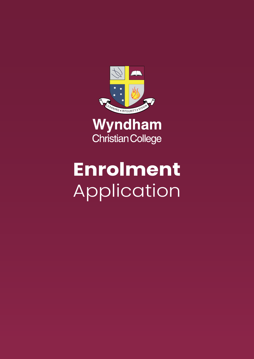

Wyndham **Christian College** 

# **Enrolment** Application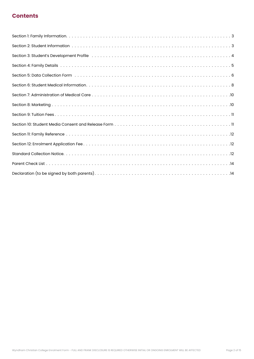## **Contents**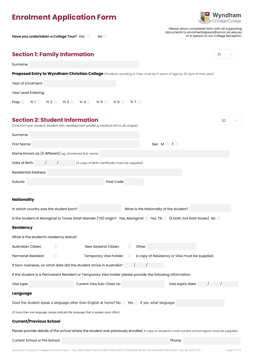## <span id="page-2-0"></span>**Enrolment Application Form**

Have you undertaken a College Tour? Yes No



Please return completed form with all supporting documents to enrolments@wyndhamcc.vic.edu.au or in person to our College Reception.

| <b>Section 1: Family Information</b>                                                                                            |                                                |        |                                         |                                              | S1             |
|---------------------------------------------------------------------------------------------------------------------------------|------------------------------------------------|--------|-----------------------------------------|----------------------------------------------|----------------|
| Surname:                                                                                                                        |                                                |        |                                         |                                              |                |
| Proposed Entry to Wyndham Christian College (Students enrolling in Prep must be 5 years of age by 30 April of that year)        |                                                |        |                                         |                                              |                |
| Year of Enrolment:                                                                                                              |                                                |        |                                         |                                              |                |
| Year Level Entering:                                                                                                            |                                                |        |                                         |                                              |                |
| Prep                                                                                                                            | Yr1 Yr2 Yr3 Yr4 Yr5 Yr6 Yr7                    |        |                                         |                                              |                |
|                                                                                                                                 |                                                |        |                                         |                                              |                |
| <b>Section 2: Student Information</b><br>(One form per student: student info, development profile & medical info is all unique) |                                                |        |                                         |                                              | S <sub>2</sub> |
| Surname:                                                                                                                        |                                                |        |                                         |                                              |                |
| First Name:                                                                                                                     |                                                |        | Sex: M F                                |                                              |                |
| Name known as (if different) eg. shortened first name:                                                                          |                                                |        |                                         |                                              |                |
| Date of Birth:                                                                                                                  | (A copy of Birth Certificate must be supplied) |        |                                         |                                              |                |
| <b>Residential Address:</b>                                                                                                     |                                                |        |                                         |                                              |                |
| Suburb:                                                                                                                         | Post Code:                                     |        |                                         |                                              |                |
|                                                                                                                                 |                                                |        |                                         |                                              |                |
| <b>Nationality</b>                                                                                                              |                                                |        |                                         |                                              |                |
| In which country was the student born?                                                                                          |                                                |        | What is the Nationality of the student? |                                              |                |
| Is the student of Aboriginal or Torres Strait Islander (TSI) origin? Yes, Aboriginal Yes, TSI (if both, tick both boxes) No     |                                                |        |                                         |                                              |                |
| <b>Residency</b>                                                                                                                |                                                |        |                                         |                                              |                |
| What is the student's residency status?                                                                                         |                                                |        |                                         |                                              |                |
| Australian Citizen:                                                                                                             | New Zealand Citizen:                           | Other: |                                         |                                              |                |
| Permanet Resident:                                                                                                              | Temporary Visa holder:                         |        |                                         | A copy of Residency or Visa must be supplied |                |
| If born overseas, on what date did the student arrive in Australia?                                                             |                                                |        |                                         |                                              |                |
| If the student is a Permanent Resident or Temporary Visa holder please provide the following information:                       |                                                |        |                                         |                                              |                |
| Visa type:                                                                                                                      | Current Visa Sub-Class no:                     |        |                                         | Visa expiry date:                            |                |
| Language                                                                                                                        |                                                |        |                                         |                                              |                |
| Does the student speak a language other than English at home? No Yes If yes, what language:                                     |                                                |        |                                         |                                              |                |
| (If more than one language, please indicate the language that is spoken most often)                                             |                                                |        |                                         |                                              |                |
| <b>Current/Previous School</b>                                                                                                  |                                                |        |                                         |                                              |                |

Please provide details of the school where the student was previously enrolled: *A copy of student's most current school report must be supplied.*

Current School or Pre School: Phone: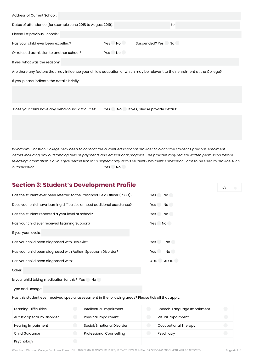<span id="page-3-0"></span>

| Address of Current School:                                                                                                  |                                           |    |
|-----------------------------------------------------------------------------------------------------------------------------|-------------------------------------------|----|
| Dates of attendance (for example June 2018 to August 2019):                                                                 |                                           | to |
| Please list previous Schools :                                                                                              |                                           |    |
| Has your child ever been expelled?                                                                                          | $Yes$ $No$<br>Suspended? Yes No           |    |
| Or refused admission to another school?                                                                                     | Yes No                                    |    |
| If yes, what was the reason?                                                                                                |                                           |    |
| Are there any factors that may influence your child's education or which may be relevant to their enrolment at the College? |                                           |    |
| If yes, please indicate the details briefly:                                                                                |                                           |    |
|                                                                                                                             |                                           |    |
|                                                                                                                             |                                           |    |
| Does your child have any behavioural difficulties?                                                                          | If yes, please provide details:<br>Yes No |    |
|                                                                                                                             |                                           |    |
|                                                                                                                             |                                           |    |
|                                                                                                                             |                                           |    |

*Wyndham Christian College may need to contact the current educational provider to clarify the student's previous enrolment details including any outstanding fees or payments and educational progress. The provider may require written permission before releasing information. Do you give permission for a signed copy of this Student Enrolment Application Form to be used to provide such authorisation?* Yes No

## **Section 3: Student's Development Profile**

| Has the student ever been referred to the Preschool Field Officer (PSFO)? | Yes<br>No.              |
|---------------------------------------------------------------------------|-------------------------|
| Does your child have learning difficulties or need additional assistance? | Yes<br>No               |
| Has the student repeated a year level at school?                          | Yes<br>No.              |
| Has your child ever received Learning Support?                            | Yes<br>No.              |
| If yes, year levels:                                                      |                         |
| Has your child been diagnosed with Dyslexia?                              | <b>Yes</b><br><b>No</b> |
| Has your child been diagnosed with Autism Spectrum Disorder?              | Yes<br>No               |
| Has your child been diagnosed with:                                       | ADD<br><b>ADHD</b>      |
|                                                                           |                         |

Other:

Is your child taking medication for this? Yes No

Type and Dosage:

Has this student ever received special assessment in the following areas? Please tick all that apply.

| Learning Difficulties      |                                                 | Intellectual Impairment         | Speech-Language Impairment | $\bigodot$ |
|----------------------------|-------------------------------------------------|---------------------------------|----------------------------|------------|
| Autistic Spectrum Disorder |                                                 | Physical Impairment             | Visual Impairment          | $\bigodot$ |
| <b>Hearing Impairment</b>  |                                                 | Social/Emotional Disorder       | Occupational Therapy       | $\bigodot$ |
| Child Guidance             |                                                 | <b>Professional Counselling</b> | Psychiatry                 | $\bigodot$ |
| Psychology                 | $\left( \begin{array}{c} 0 \end{array} \right)$ |                                 |                            |            |

Wyndham Christian College Enrolment Form - FULL AND FRANK DISCLOSURE IS REQUIRED OTHERWISE INITIAL OR ONGOING ENROLMENT WILL BE AFFECTED Page 4 of 15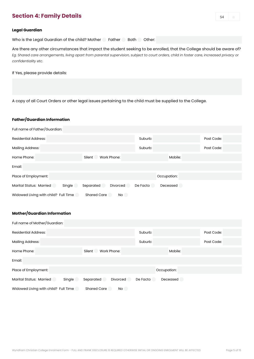## <span id="page-4-0"></span>**Section 4: Family Details**

#### **Legal Guardian**

Who is the Legal Guardian of the child? Mother Father Both Other:

Are there any other circumstances that impact the student seeking to be enrolled, that the College should be aware of? *Eg. Shared care arrangements, living apart from parental supervision, subject to court orders, child in foster care, increased privacy or confidentiality etc.* 

If Yes, please provide details:

A copy of all Court Orders or other legal issues pertaining to the child must be supplied to the College.

#### **Father/Guardian Information**

| Full name of Father/Guardian:            |                          |                      |            |
|------------------------------------------|--------------------------|----------------------|------------|
| <b>Residential Address:</b>              |                          | Suburb:              | Post Code: |
| <b>Mailing Address:</b>                  |                          | Suburb:              | Post Code: |
| Home Phone:                              | Work Phone:<br>Silent    | Mobile:              |            |
| Email:                                   |                          |                      |            |
| Place of Employment:                     |                          | Occupation:          |            |
| <b>Marital Status: Married</b><br>Single | Separated<br>Divorced    | De Facto<br>Deceased |            |
| Widowed Living with child? Full Time     | <b>Shared Care</b><br>No |                      |            |

#### **Mother/Guardian Information**

| Full name of Mother/Guardian:            |                          |             |          |            |
|------------------------------------------|--------------------------|-------------|----------|------------|
| <b>Residential Address:</b>              |                          | Suburb:     |          | Post Code: |
| <b>Mailing Address:</b>                  |                          | Suburb:     |          | Post Code: |
| Home Phone:                              | Work Phone:<br>Silent    |             | Mobile:  |            |
| Email:                                   |                          |             |          |            |
| Place of Employment:                     |                          | Occupation: |          |            |
| <b>Marital Status: Married</b><br>Single | Separated<br>Divorced    | De Facto    | Deceased |            |
| Widowed Living with child? Full Time     | <b>Shared Care</b><br>No |             |          |            |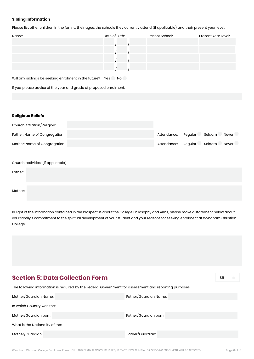#### <span id="page-5-0"></span>**Sibling Information**

Please list other children in the family, their ages, the schools they currently attend (if applicable) and their present year level:

| Name: | Date of Birth: | Present School: | Present Year Level: |
|-------|----------------|-----------------|---------------------|
|       |                |                 |                     |
|       |                |                 |                     |
|       |                |                 |                     |
|       |                |                 |                     |

Will any siblings be seeking enrolment in the future? Yes No

If yes, please advise of the year and grade of proposed enrolment:

#### **Religious Beliefs**

| Church Affliation/Religion:        |             |         |        |       |
|------------------------------------|-------------|---------|--------|-------|
| Father: Name of Congregation       | Attendance: | Regular | Seldom | Never |
| Mother: Name of Congregation       | Attendance: | Regular | Seldom | Never |
|                                    |             |         |        |       |
| Church activities: (if applicable) |             |         |        |       |
| Father:                            |             |         |        |       |
|                                    |             |         |        |       |
| Mother:                            |             |         |        |       |

In light of the information contained in the Prospectus about the College Philosophy and Aims, please make a statement below about your family's commitment to the spiritual development of your student and your reasons for seeking enrolment at Wyndham Christian College:

## **Section 5: Data Collection Form**

S5

The following information is required by the Federal Government for assessment and reporting purposes.

| Mother/Guardian Name:           | Father/Guardian Name: |
|---------------------------------|-----------------------|
| In which Country was the:       |                       |
| Mother/Guardian born:           | Father/Guardian born: |
| What is the Nationality of the: |                       |
| Mother/Guardian:                | Father/Guardian:      |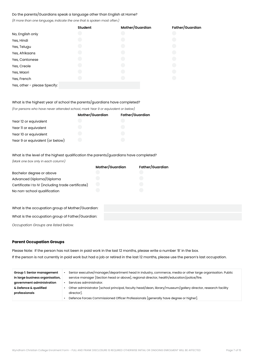#### Do the parents/Guardians speak a language other than English at Home?

*(If more than one language, indicate the one that is spoken most often.)*

|                              | <b>Student</b> | Mother/Guardian | Father/Guardian |
|------------------------------|----------------|-----------------|-----------------|
| No, English only             |                |                 |                 |
| Yes, Hindi                   |                |                 |                 |
| Yes, Telugu                  |                |                 |                 |
| Yes, Afrikaans               |                |                 |                 |
| Yes, Cantonese               |                |                 |                 |
| Yes, Creole                  |                |                 |                 |
| Yes, Maori                   |                |                 |                 |
| Yes, French                  |                |                 |                 |
| Yes, other - please Specify: |                |                 |                 |

#### What is the highest year of school the parents/guardians have completed?

*(For persons who have never attended school, mark Year 9 or equivalent or below)*

|                                 | Mother/Guardian | Father/Guardian |
|---------------------------------|-----------------|-----------------|
| Year 12 or equivalent           |                 |                 |
| Year II or equivalent           |                 |                 |
| Year 10 or equivalent           |                 |                 |
| Year 9 or equivalent (or below) |                 |                 |

What is the level of the highest qualification the parents/guardians have completed?

*(Mark one box only in each column)*

|                                                   | Mother/Guardian | Father/Guardian |
|---------------------------------------------------|-----------------|-----------------|
| Bachelor degree or above                          |                 |                 |
| Advanced Diploma/Diploma                          |                 |                 |
| Certificate I to IV (including trade certificate) |                 |                 |
| No non-school qualification                       |                 |                 |

| What is the occupation group of Mother/Guardian: |  |
|--------------------------------------------------|--|
| What is the occupation group of Father/Guardian: |  |

*Occupation Groups are listed below.*

#### **Parent Occupation Groups**

Please Note: If the person has not been in paid work in the last 12 months, please write a number '8' in the box. If the person is not currently in paid work but had a job or retired in the last 12 months, please use the person's last occupation.

| Group 1: Senior management<br>in large business organisation, | Senior executive/manager/department head in industry, commerce, media or other large organisation. Public<br>service manager [Section head or above], regional director, health/education/police/fire. |
|---------------------------------------------------------------|--------------------------------------------------------------------------------------------------------------------------------------------------------------------------------------------------------|
| government administration                                     | Services administrator.                                                                                                                                                                                |
| & Defence & qualified                                         | Other administrator [school principal, faculty head/dean, library/museum/gallery director, research facility                                                                                           |
| professionals                                                 | director.                                                                                                                                                                                              |
|                                                               | Defence Forces Commissioned Officer Professionals [generally have degree or higher].                                                                                                                   |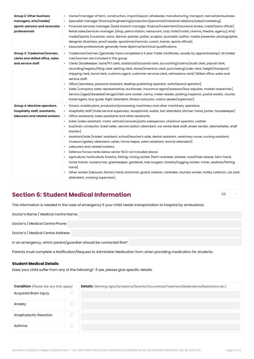<span id="page-7-0"></span>

| Group 2: Other business<br>managers, arts/media/<br>sports-persons and associate<br>professionals | Owner/manager of farm, construction, import/export, wholesale, manufacturing, transport, real estate business.<br>Specialist manager [finance/engineering/production/personnel/industrial relations/sales/marketing].<br>Financial services manager [bank branch manager, finance/investment/insurance broker, credit/loans officer]<br>Retail sales/services manager [shop, petrol station, restaurant, club, hotel/motel, cinema, theatre, agency] Arts/<br>media/sports [musician, actor, dancer, painter, potter, sculptor, journalist, author, media presenter, photographer,<br>designer, illustrator, proof reader, sportsman/woman, coach, trainer, sports official].<br>Associate professionals generally have diploma/technical qualifications.                                                                                                                                                                                                                                                                                                                                                                                                                                                                                                             |
|---------------------------------------------------------------------------------------------------|-----------------------------------------------------------------------------------------------------------------------------------------------------------------------------------------------------------------------------------------------------------------------------------------------------------------------------------------------------------------------------------------------------------------------------------------------------------------------------------------------------------------------------------------------------------------------------------------------------------------------------------------------------------------------------------------------------------------------------------------------------------------------------------------------------------------------------------------------------------------------------------------------------------------------------------------------------------------------------------------------------------------------------------------------------------------------------------------------------------------------------------------------------------------------------------------------------------------------------------------------------------------------|
| Group 3: Tradesmen/women,<br>clerks and skilled office, sales<br>and service staff                | Tradesmen/women [generally have completed a 4 year Trade Certificate, usually by apprenticeship]. All trades<br>$\bullet$<br>men/women are included in this group.<br>Clerks [bookkeeper, bank/PO clerk, statistical/actuarial clerk, accounting/claims/audit clerk, payroll clerk,<br>recording/registry/filing clerk, betting clerk, stores/inventory clerk, purchasing/order clerk, freight/transport/<br>shipping clerk, bond clerk, customs agent, customer services clerk, admissions clerk] Skilled office, sales and<br>service staff.<br>Office [secretary, personal assistant, desktop publishing operator, switchboard operator].<br>Sales [company sales representative, auctioneer, insurance agent/assessor/loss adjuster, market researcher]<br>Service [aged/disabled/refuge/child care worker, nanny, meter reader, parking inspector, postal worker, courier,<br>travel agent, tour guide, flight attendant, fitness instructor, casino dealer/supervisor]                                                                                                                                                                                                                                                                                          |
| Group 4: Machine operators,<br>hospitality staff, assistants,<br>labourers and related workers    | Drivers, mobile plant, production/processing machinery and other machinery operators.<br>$\bullet$<br>Hospitality staff [hotel service supervisor, receptionist, waiter, bar attendant, kitchen-hand, porter, housekeeper]<br>Office assistants, sales assistants and other assistants.<br>Sales [sales assistant, motor vehicle/caravan/parts salesperson, checkout operator, cashier.<br>$\bullet$<br>bus/train conductor, ticket seller, service station attendant, car rental desk staff, street vendor, telemarketer, shelf<br>stacker].<br>Assistant/aide [trades' assistant, school/teacher's aide, dental assistant, veterinary nurse, nursing assistant,<br>museum/gallery attendant, usher, home helper, salon assistant, animal attendant]<br>Labourers and related workers.<br>Defence Forces ranks below senior NCO not included above.<br>Agriculture, horticulture, forestry, fishing, mining worker [farm overseer, shearer, wool/hide classer, farm hand,<br>horse trainer, nurseryman, greenkeeper, gardener, tree surgeon, forestry/logging worker, miner, seafarer/fishing<br>hand.<br>Other worker [labourer, factory hand, storeman, guard, cleaner, caretaker, laundry worker, trolley collector, car park<br>attendant, crossing supervisor]. |

## **Section 6: Student Medical Information**

This information is needed in the case of emergency if your child needs transportation to hospital by ambulance.

Doctor's Name / Medical Centre Name:

Doctor's / Medical Centre Phone:

Doctor's / Medical Centre Address:

In an emergency, which parent/guardian should be contacted first?

Parents must complete a Notification/Request to Administer Medication form when providing medication for students.

#### **Student Medical Details**

Does your child suffer from any of the following? If yes, please give specific details.

| <b>Condition</b> (Please tick any that apply) |            | Details (Warning signs/Symptoms/Severity/Occurrence/Treatment/Medications/Restrictions etc.) |
|-----------------------------------------------|------------|----------------------------------------------------------------------------------------------|
| <b>Acquired Brain Injury</b>                  | $\bigodot$ |                                                                                              |
| Anxiety                                       | $\bigodot$ |                                                                                              |
| Anaphylactic Reaction                         | $\bigodot$ |                                                                                              |
| Asthma                                        | $\bigodot$ |                                                                                              |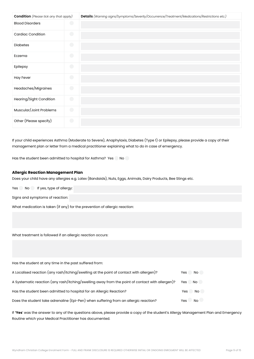| <b>Condition</b> (Please tick any that apply) |            | Details (Warning signs/Symptoms/Severity/Occurrence/Treatment/Medications/Restrictions etc.) |
|-----------------------------------------------|------------|----------------------------------------------------------------------------------------------|
| <b>Blood Disorders</b>                        | $\bigodot$ |                                                                                              |
| <b>Cardiac Condition</b>                      | $\bigodot$ |                                                                                              |
| <b>Diabetes</b>                               | $\bigodot$ |                                                                                              |
| Eczema                                        | $\bigodot$ |                                                                                              |
| Epilepsy                                      | $\bigodot$ |                                                                                              |
| <b>Hay Fever</b>                              | $\bigodot$ |                                                                                              |
| Headaches/Migraines                           | $\bigodot$ |                                                                                              |
| Hearing/Sight Condition                       | $\bigodot$ |                                                                                              |
| Muscular/Joint Problems                       | $\bigodot$ |                                                                                              |
| Other (Please specify)                        | $\bigodot$ |                                                                                              |

If your child experiences Asthma (Moderate to Severe), Anaphylaxis, Diabetes (Type 1) or Epilepsy, please provide a copy of their management plan or letter from a medical practitioner explaining what to do in case of emergency.

Has the student been admitted to hospital for Asthma? Yes No

#### **Allergic Reaction Management Plan**

Does your child have any allergies e.g. Latex (Bandaids), Nuts, Eggs, Animals, Dairy Products, Bee Stings etc.

Yes No If yes, type of allergy:

Signs and symptoms of reaction:

What medication is taken (if any) for the prevention of allergic reaction:

What treatment is followed if an allergic reaction occurs:

Has the student at any time in the past suffered from:

| A Localised reaction (any rash/itching/swelling at the point of contact with allergen)?         | No.<br>Yes |
|-------------------------------------------------------------------------------------------------|------------|
| A Systematic reaction (any rash/itching/swelling away from the point of contact with allergen)? | Yes No     |
| Has the student been admitted to hospital for an Allergic Reaction?                             | Yes No     |
| Does the student take adrenaline (Epi-Pen) when suffering from an allergic reaction?            | No<br>Yes  |

If **'Yes**' was the answer to any of the questions above, please provide a copy of the student's Allergy Management Plan and Emergency Routine which your Medical Practitioner has documented.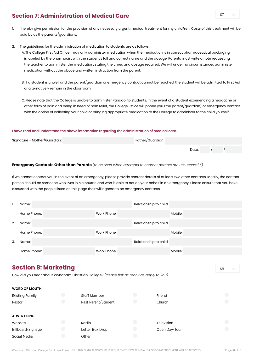## <span id="page-9-0"></span>**Section 7: Administration of Medical Care**

- 1. I hereby give permission for the provision of any necessary urgent medical treatment for my child/ren. Costs of this treatment will be paid by us the parents/guardians.
- 2. The guidelines for the administration of medication to students are as follows:

A. The College First Aid Officer may only administer medication when the medication is in correct pharmaceutical packaging, is labeled by the pharmacist with the student's full and correct name and the dosage. Parents must write a note requesting the teacher to administer the medication, stating the times and dosage required. We will under no circumstances administer medication without the above and written instruction from the parent.

- B. If a student is unwell and the parent/guardian or emergency contact cannot be reached, the student will be admitted to First Aid or alternatively remain in the classroom.
- C. Please note that the College is unable to administer Panadol to students. In the event of a student experiencing a headache or other form of pain and being in need of pain relief, the College Office will phone you (the parent/guardian) or emergency contact with the option of collecting your child or bringing appropriate medication to the College to administer to the child yourself.

#### **I have read and understand the above information regarding the administration of medical care.**

| Signature - Mother/Guardian: | Father/Guardian: |       |  |
|------------------------------|------------------|-------|--|
|                              |                  | Date: |  |

#### **Emergency Contacts Other than Parents** *(to be used when attempts to contact parents are unsuccessful)*

If we cannot contact you in the event of an emergency, please provide contact details of at least two other contacts. Ideally, the contact person should be someone who lives in Melbourne and who is able to act on your behalf in an emergency. Please ensure that you have discussed with the people listed on this page their willingness to be emergency contacts.

|    | Name:       |             | Relationship to child: |         |
|----|-------------|-------------|------------------------|---------|
|    | Home Phone: | Work Phone: |                        | Mobile: |
| 2. | Name:       |             | Relationship to child: |         |
|    | Home Phone: | Work Phone: |                        | Mobile: |
| 3. | Name:       |             | Relationship to child: |         |
|    | Home Phone: | Work Phone: |                        | Mobile: |
|    |             |             |                        |         |

## **Section 8: Marketing**

How did you hear about Wyndham Christian College? *(Please tick as many as apply to you)*

| <b>WORD OF MOUTH</b>   |                     |               |                                               |
|------------------------|---------------------|---------------|-----------------------------------------------|
| <b>Existing Family</b> | <b>Staff Member</b> | Friend        | $\left( \begin{array}{c} \end{array} \right)$ |
| Pastor                 | Past Parent/Student | Church        | $\overline{\phantom{a}}$                      |
|                        |                     |               |                                               |
| <b>ADVERTISING</b>     |                     |               |                                               |
| Website                | Radio               | Television    | $\overline{\phantom{a}}$                      |
| Billboard/Signage      | Letter Box Drop     | Open Day/Tour | $\overline{\phantom{a}}$                      |
| Social Media           |                     |               |                                               |

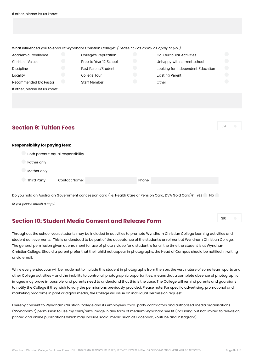<span id="page-10-0"></span>

| If other, please let us know:                                                                    |                          |                             |            |                                   |            |
|--------------------------------------------------------------------------------------------------|--------------------------|-----------------------------|------------|-----------------------------------|------------|
|                                                                                                  |                          |                             |            |                                   |            |
|                                                                                                  |                          |                             |            |                                   |            |
|                                                                                                  |                          |                             |            |                                   |            |
|                                                                                                  |                          |                             |            |                                   |            |
|                                                                                                  |                          |                             |            |                                   |            |
| What influenced you to enrol at Wyndham Christian College? (Please tick as many as apply to you) |                          |                             |            |                                   |            |
| Academic Excellence                                                                              | O                        | <b>College's Reputation</b> | O          | Co-Curricular Activities          | 0          |
| <b>Christian Values</b>                                                                          | $(\ \ )$                 | Prep to Year 12 School      | $\bigodot$ | Unhappy with current school       | $\bigodot$ |
| Discipline                                                                                       | $\bigodot$               | Past Parent/Student         | $\bigodot$ | Looking for Independent Education | $\bigodot$ |
| Locality                                                                                         | $\bigodot$               | College Tour                | $\bigodot$ | <b>Existing Parent</b>            | $\bigodot$ |
| Recommended by: Pastor                                                                           | $\hspace{0.1in} \bullet$ | <b>Staff Member</b>         | $\bigodot$ | Other                             |            |
| If other, please let us know:                                                                    |                          |                             |            |                                   |            |
|                                                                                                  |                          |                             |            |                                   |            |
|                                                                                                  |                          |                             |            |                                   |            |
|                                                                                                  |                          |                             |            |                                   |            |
|                                                                                                  |                          |                             |            |                                   |            |

## **Section 9: Tuition Fees**

SO

S10

#### **Responsibility for paying fees:**

|             | Both parents' equal responsibility |  |        |  |  |
|-------------|------------------------------------|--|--------|--|--|
| Father only |                                    |  |        |  |  |
| Mother only |                                    |  |        |  |  |
| Third Party | <b>Contact Name:</b>               |  | Phone: |  |  |

Do you hold an Australian Government concession card (i.e. Health Care or Pension Card, DVA Gold Card)? Yes No

*(If yes, please attach a copy)* 

## **Section 10: Student Media Consent and Release Form**

Throughout the school year, students may be included in activities to promote Wyndham Christian College learning activities and student achievements. This is understood to be part of the acceptance of the student's enrolment at Wyndham Christian College. The general permission given at enrolment for use of photo / video for a student is for all the time the student is at Wyndham ChristianCollege. Should a parent prefer that their child not appear in photographs, the Head of Campus should be notified in writing or via email.

While every endeavour will be made not to include this student in photographs from then on, the very nature of some team sports and other College activities - and the inability to control all photographic opportunities, means that a complete absence of photographic images may prove impossible, and parents need to understand that this is the case. The College will remind parents and guardians to notify the College if they wish to vary the permissions previously provided. Please note: For specific advertising, promotional and marketing programs in print or digital media, the College will issue an individual permission request.

I hereby consent to Wyndham Christian College and its employees, third-party contractors and authorised media organisations ("Wyndham ") permission to use my child/ren's image in any form of medium Wyndham see fit (including but not limited to television, printed and online publications which may include social media such as Facebook, Youtube and Instagram).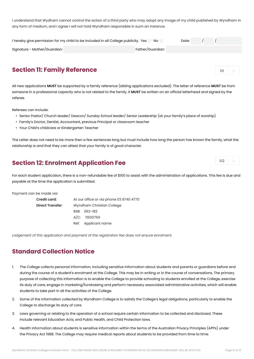<span id="page-11-0"></span>I understand that Wydham cannot control the action of a third party who may adopt any image of my child published by Wyndham in any form of medium, and I agree I will not hold Wyndham responsible in such an instance.

| I hereby give permission for my child to be included in all College publicity. Yes | Date:            |  |  |  |
|------------------------------------------------------------------------------------|------------------|--|--|--|
| Signature - Mother/Guardian:                                                       | Father/Guardian: |  |  |  |

## **Section 11: Family Reference**

All new applications **MUST** be supported by a family reference (sibling applications excluded). The letter of reference **MUST** be from someone in a professional capacity who is not related to the family. It **MUST** be written on an official letterhead and signed by the referee.

Referees can include:

- Senior Pastor/ Church leader/ Deacon/ Sunday School leader/ Senior Leadership (at your family's place of worship)
- Family's Doctor, Dentist, Accountant, previous Principal or classroom teacher
- Your Child's childcare or Kindergarten Teacher

The Letter does not need to be more then a few sentences long but must include how long the person has known the family, what the relationship is and that they can attest that your family is of good character.

## **Section 12: Enrolment Application Fee**

For each student application, there is a non-refundable fee of \$100 to assist with the administration of applications. This fee is due and payable at the time the application is submitted.

Payment can be made via:

| Credit card:            | At our office or via phone 03 8740 4770 |  |  |  |  |
|-------------------------|-----------------------------------------|--|--|--|--|
| <b>Direct Transfer:</b> | Wyndham Christian College               |  |  |  |  |
|                         | BSB: 063-182                            |  |  |  |  |
|                         | $A/C$ : 11500769                        |  |  |  |  |
|                         | Ref: Applicant name                     |  |  |  |  |
|                         |                                         |  |  |  |  |

*Lodgement of this application and payment of the registration fee does not ensure enrolment.*

## **Standard Collection Notice**

- 1. The College collects personal information, including sensitive information about students and parents or guardians before and during the course of a student's enrolment at the College. This may be in writing or in the course of conversations. The primary purpose of collecting this information is to enable the College to provide schooling to students enrolled at the College, exercise its duty of care, engage in marketing/fundraising and perform necessary associated administrative activities, which will enable students to take part in all the activities of the College.
- 2. Some of the information collected by Wyndham College is to satisfy the College's legal obligations, particularly to enable the College to discharge its duty of care.
- 3. Laws governing or relating to the operation of a school require certain information to be collected and disclosed. These include relevant Education Acts, and Public Health, and Child Protection laws.
- 4. Health information about students is sensitive information within the terms of the Australian Privacy Principles (APPs) under the Privacy Act 1988. The College may require medical reports about students to be provided from time to time.

S11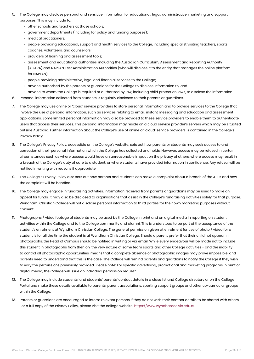- 5. The College may disclose personal and sensitive information for educational, legal, administrative, marketing and support purposes. This may include to:
	- other schools and teachers at those schools;
	- government departments (including for policy and funding purposes);
	- medical practitioners;
	- people providing educational, support and health services to the College, including specialist visiting teachers, sports coaches, volunteers, and counsellors;
	- providers of learning and assessment tools;
	- assessment and educational authorities, including the Australian Curriculum, Assessment and Reporting Authority (ACARA) and NAPLAN Test Administration Authorities (who will disclose it to the entity that manages the online platform for NAPLAN);
	- people providing administrative, legal and financial services to the College;
	- anyone authorised by the parents or guardians for the College to disclose information to; and
	- anyone to whom the College is required or authorised by law, including child protection laws, to disclose the information.
- 6. Personal information collected from students is regularly disclosed to their parents or guardians.
- 7. The College may use online or 'cloud' service providers to store personal information and to provide services to the College that involve the use of personal information, such as services relating to email, instant messaging and education and assessment applications. Some limited personal information may also be provided to these service providers to enable them to authenticate users that access their services. This personal information may reside on a cloud service provider's servers which may be situated outside Australia. Further information about the College's use of online or 'cloud' service providers is contained in the College's Privacy Policy.
- 8. The College's Privacy Policy, accessible on the College's website, sets out how parents or students may seek access to and correction of their personal information which the College has collected and holds. However, access may be refused in certain circumstances such as where access would have an unreasonable impact on the privacy of others, where access may result in a breach of the College's duty of care to a student, or where students have provided information in confidence. Any refusal will be notified in writing with reasons if appropriate.
- 9. The College's Privacy Policy also sets out how parents and students can make a complaint about a breach of the APPs and how the complaint will be handled.
- 10. The College may engage in fundraising activities. Information received from parents or guardians may be used to make an appeal for funds. It may also be disclosed to organisations that assist in the College's fundraising activities solely for that purpose. Wyndham Christian College will not disclose personal information to third parties for their own marketing purposes without consent.
- 11. Photographs / video footage of students may be used by the College in print and on digital media in reporting on student activities within the College and to the College community and alumni. This is understood to be part of the acceptance of the student's enrolment at Wyndham Christian College. The general permission given at enrolment for use of photo / video for a student is for all the time the student is at Wyndham Christian College. Should a parent prefer that their child not appear in photographs, the Head of Campus should be notified in writing or via email. While every endeavour will be made not to include this student in photographs from then on, the very nature of some team sports and other College activities - and the inability to control all photographic opportunities, means that a complete absence of photographic images may prove impossible, and parents need to understand that this is the case. The College will remind parents and guardians to notify the College if they wish to vary the permissions previously provided. Please note: For specific advertising, promotional and marketing programs in print or digital media, the College will issue an individual permission request.
- 12. The College may include students' and students' parents' contact details in a class list and College directory or on the College Portal and make these details available to parents, parent associations, sporting support groups and other co-curricular groups within the College.
- 13. Parents or guardians are encouraged to inform relevant persons if they do not wish their contact details to be shared with others. For a full copy of the Privacy Policy, please visit the college website: https://www.wyndhamcc.vic.edu.au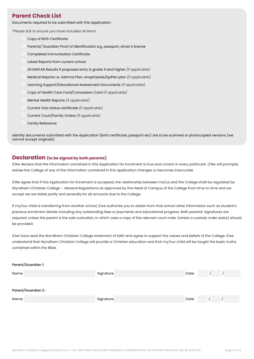### <span id="page-13-0"></span>**Parent Check List**

Documents required to be submitted with this Application:

*\*Please tick to ensure you have included all items*

- Copy of Birth Certificate Parents/ Guardian Proof of identification e.g. passport, driver's license Completed Immunisation Certificate Latest Reports from current school All NAPLAN Results if proposed entry is grade 4 and higher *(if applicable)*
	- Medical Reports i.e. Asthma Plan, Anaphylaxis/EpiPen plan *(if applicable)*
	- Learning Support/Educational Assessment Documents *(if applicable)*
	- Copy of Health Care Card/Concession Card *(if applicable)*
	- Mental Health Reports *(if applicable)*
	- Current Visa status certificate *(if applicable)*
	- Current Court/Family Orders *(if applicable)*
	- Family Reference

Identity documents submitted with the Application (birth certificate, passport etc) are to be scanned or photocopied versions (we cannot accept originals).

#### **Declaration (to be signed by both parents)**

I/We declare that the information contained in this Application for Enrolment is true and correct in every particular. I/We will promptly advise the College of any of the information contained in this application changes or becomes inaccurate.

I/We agree that if this Application for Enrolment is accepted, the relationship between me/us and the College shall be regulated by Wyndham Christian College – General Regulations as approved by the Head of Campus of the College from time to time and we accept we are liable jointly and severally for all amounts due to the College.

If my/our child is transferring from another school, I/we authorise you to obtain from that school other information such as student's previous enrolment details including any outstanding fees or payments and educational progress. Both parents' signatures are required, unless the parent is the sole custodian, in which case a copy of the relevant court order (where a custody order exists) should be provided.

I/we have read the Wyndham Christian College statement of faith and agree to support the values and beliefs of the College. I/we understand that Wyndham Christian College will provide a Christian education and that my/our child will be taught the basic truths contained within the Bible.

#### Parent/Guardian 1:

| Name:              | Signature | Date: |  |
|--------------------|-----------|-------|--|
|                    |           |       |  |
| Parent/Guardian 2: |           |       |  |
| Name:              | Signature | Date: |  |